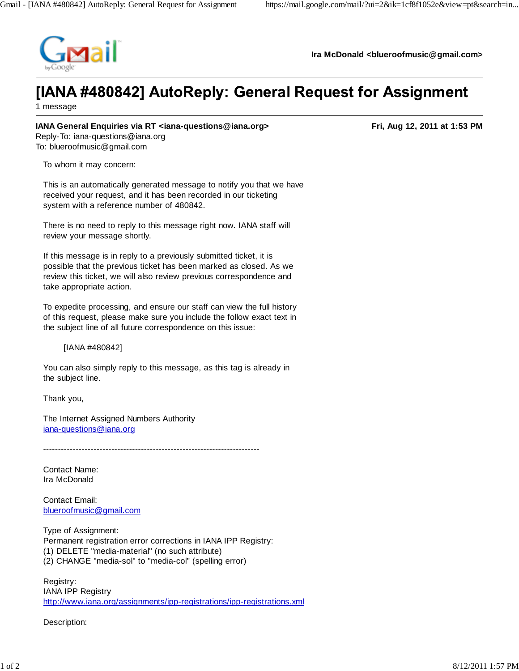

**Ira McDonald <blueroofmusic@gmail.com>**

## [IANA #480842] AutoReply: General Request for Assignment

1 message

## **IANA General Enquiries via RT <iana-questions@iana.org>** Fried Constructions and The Rig 12, 2011 at 1:53 PM

Reply-To: iana-questions@iana.org To: blueroofmusic@gmail.com

To whom it may concern:

This is an automatically generated message to notify you that we have received your request, and it has been recorded in our ticketing system with a reference number of 480842.

There is no need to reply to this message right now. IANA staff will review your message shortly.

If this message is in reply to a previously submitted ticket, it is possible that the previous ticket has been marked as closed. As we review this ticket, we will also review previous correspondence and take appropriate action.

To expedite processing, and ensure our staff can view the full history of this request, please make sure you include the follow exact text in the subject line of all future correspondence on this issue:

[IANA #480842]

You can also simply reply to this message, as this tag is already in the subject line.

Thank you,

The Internet Assigned Numbers Authority iana-questions@iana.org

-------------------------------------------------------------------------

Contact Name: Ira McDonald

Contact Email: blueroofmusic@gmail.com

Type of Assignment: Permanent registration error corrections in IANA IPP Registry: (1) DELETE "media-material" (no such attribute) (2) CHANGE "media-sol" to "media-col" (spelling error)

Registry: IANA IPP Registry http://www.iana.org/assignments/ipp-registrations/ipp-registrations.xml

Description: